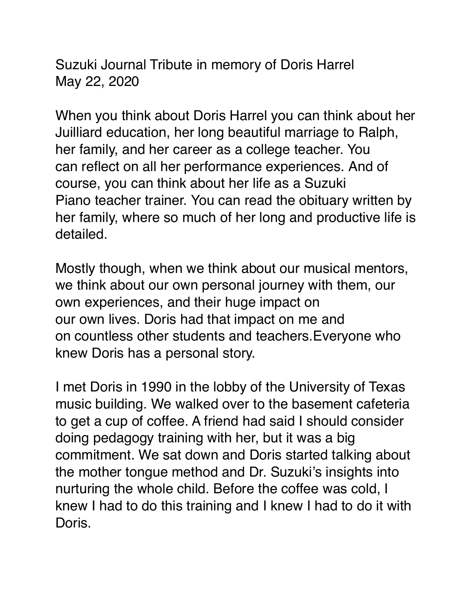Suzuki Journal Tribute in memory of Doris Harrel May 22, 2020

When you think about Doris Harrel you can think about her Juilliard education, her long beautiful marriage to Ralph, her family, and her career as a college teacher. You can reflect on all her performance experiences. And of course, you can think about her life as a Suzuki Piano teacher trainer. You can read the obituary written by her family, where so much of her long and productive life is detailed.

Mostly though, when we think about our musical mentors, we think about our own personal journey with them, our own experiences, and their huge impact on our own lives. Doris had that impact on me and on countless other students and teachers.Everyone who knew Doris has a personal story.

I met Doris in 1990 in the lobby of the University of Texas music building. We walked over to the basement cafeteria to get a cup of coffee. A friend had said I should consider doing pedagogy training with her, but it was a big commitment. We sat down and Doris started talking about the mother tongue method and Dr. Suzuki's insights into nurturing the whole child. Before the coffee was cold, I knew I had to do this training and I knew I had to do it with Doris.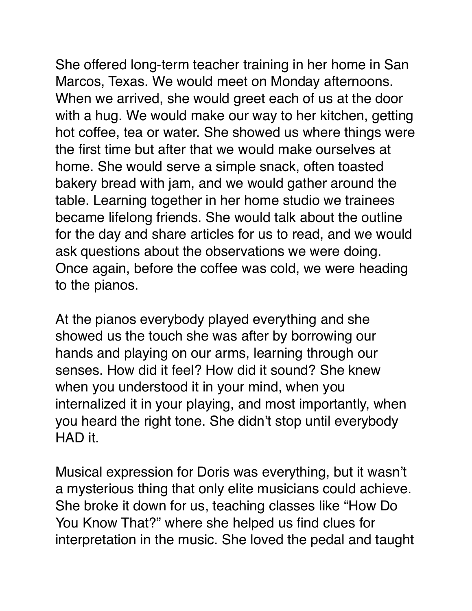She offered long-term teacher training in her home in San Marcos, Texas. We would meet on Monday afternoons. When we arrived, she would greet each of us at the door with a hug. We would make our way to her kitchen, getting hot coffee, tea or water. She showed us where things were the first time but after that we would make ourselves at home. She would serve a simple snack, often toasted bakery bread with jam, and we would gather around the table. Learning together in her home studio we trainees became lifelong friends. She would talk about the outline for the day and share articles for us to read, and we would ask questions about the observations we were doing. Once again, before the coffee was cold, we were heading to the pianos.

At the pianos everybody played everything and she showed us the touch she was after by borrowing our hands and playing on our arms, learning through our senses. How did it feel? How did it sound? She knew when you understood it in your mind, when you internalized it in your playing, and most importantly, when you heard the right tone. She didn't stop until everybody HAD it.

Musical expression for Doris was everything, but it wasn't a mysterious thing that only elite musicians could achieve. She broke it down for us, teaching classes like "How Do You Know That?" where she helped us find clues for interpretation in the music. She loved the pedal and taught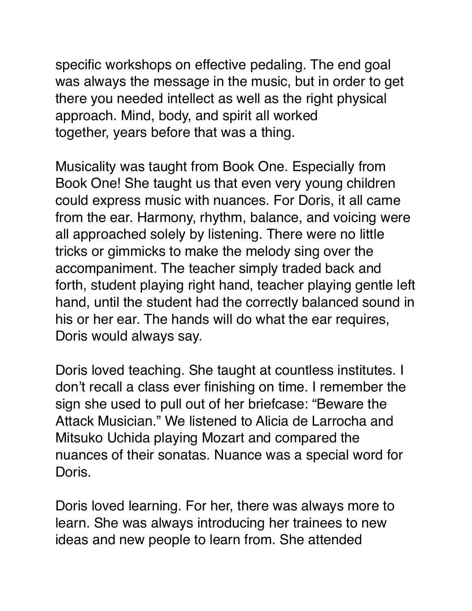specific workshops on effective pedaling. The end goal was always the message in the music, but in order to get there you needed intellect as well as the right physical approach. Mind, body, and spirit all worked together, years before that was a thing.

Musicality was taught from Book One. Especially from Book One! She taught us that even very young children could express music with nuances. For Doris, it all came from the ear. Harmony, rhythm, balance, and voicing were all approached solely by listening. There were no little tricks or gimmicks to make the melody sing over the accompaniment. The teacher simply traded back and forth, student playing right hand, teacher playing gentle left hand, until the student had the correctly balanced sound in his or her ear. The hands will do what the ear requires, Doris would always say.

Doris loved teaching. She taught at countless institutes. I don't recall a class ever finishing on time. I remember the sign she used to pull out of her briefcase: "Beware the Attack Musician." We listened to Alicia de Larrocha and Mitsuko Uchida playing Mozart and compared the nuances of their sonatas. Nuance was a special word for Doris.

Doris loved learning. For her, there was always more to learn. She was always introducing her trainees to new ideas and new people to learn from. She attended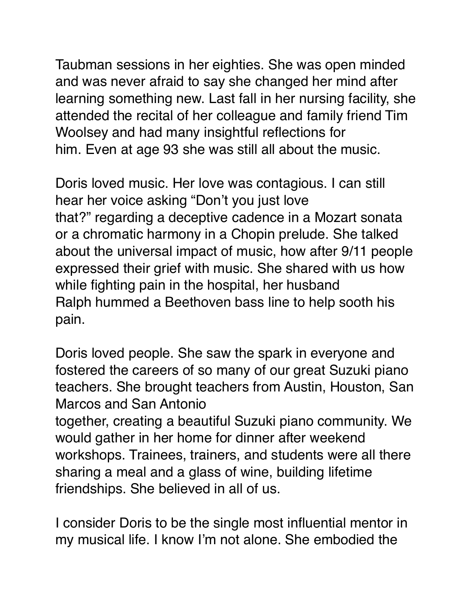Taubman sessions in her eighties. She was open minded and was never afraid to say she changed her mind after learning something new. Last fall in her nursing facility, she attended the recital of her colleague and family friend Tim Woolsey and had many insightful reflections for him. Even at age 93 she was still all about the music.

Doris loved music. Her love was contagious. I can still hear her voice asking "Don't you just love that?" regarding a deceptive cadence in a Mozart sonata or a chromatic harmony in a Chopin prelude. She talked about the universal impact of music, how after 9/11 people expressed their grief with music. She shared with us how while fighting pain in the hospital, her husband Ralph hummed a Beethoven bass line to help sooth his pain.

Doris loved people. She saw the spark in everyone and fostered the careers of so many of our great Suzuki piano teachers. She brought teachers from Austin, Houston, San Marcos and San Antonio

together, creating a beautiful Suzuki piano community. We would gather in her home for dinner after weekend workshops. Trainees, trainers, and students were all there sharing a meal and a glass of wine, building lifetime friendships. She believed in all of us.

I consider Doris to be the single most influential mentor in my musical life. I know I'm not alone. She embodied the